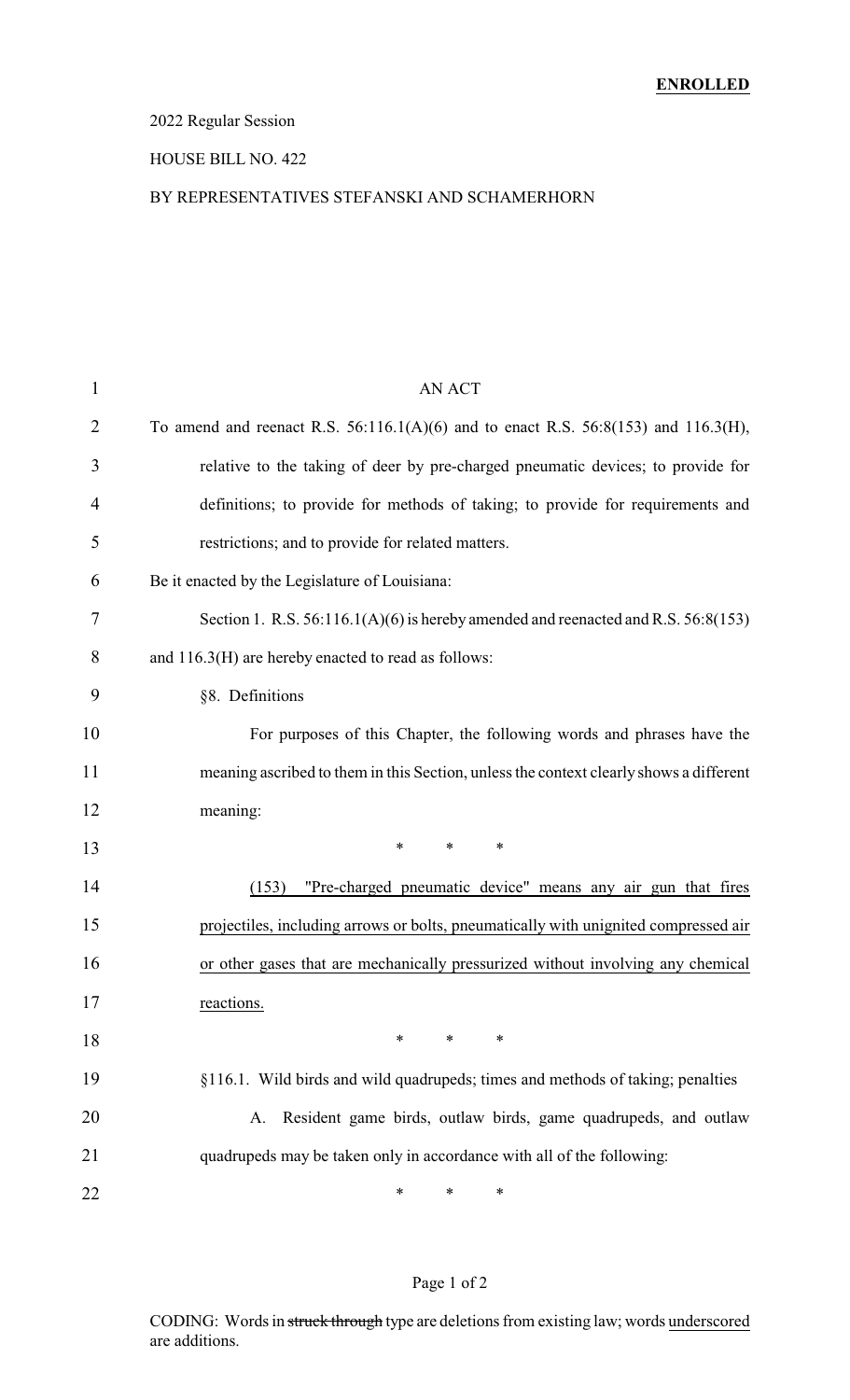### 2022 Regular Session

#### HOUSE BILL NO. 422

#### BY REPRESENTATIVES STEFANSKI AND SCHAMERHORN

| $\mathbf{1}$   | <b>AN ACT</b>                                                                             |
|----------------|-------------------------------------------------------------------------------------------|
| $\overline{2}$ | To amend and reenact R.S. $56:116.1(A)(6)$ and to enact R.S. $56:8(153)$ and $116.3(H)$ , |
| 3              | relative to the taking of deer by pre-charged pneumatic devices; to provide for           |
| 4              | definitions; to provide for methods of taking; to provide for requirements and            |
| 5              | restrictions; and to provide for related matters.                                         |
| 6              | Be it enacted by the Legislature of Louisiana:                                            |
| 7              | Section 1. R.S. $56:116.1(A)(6)$ is hereby amended and reenacted and R.S. $56:8(153)$     |
| 8              | and 116.3(H) are hereby enacted to read as follows:                                       |
| 9              | §8. Definitions                                                                           |
| 10             | For purposes of this Chapter, the following words and phrases have the                    |
| 11             | meaning ascribed to them in this Section, unless the context clearly shows a different    |
| 12             | meaning:                                                                                  |
| 13             | $\ast$<br>$\ast$<br>$\ast$                                                                |
| 14             | (153)<br>"Pre-charged pneumatic device" means any air gun that fires                      |
| 15             | projectiles, including arrows or bolts, pneumatically with unignited compressed air       |
| 16             | or other gases that are mechanically pressurized without involving any chemical           |
| 17             | reactions.                                                                                |
| 18             | $\ast$<br>$\ast$<br>∗                                                                     |
| 19             | §116.1. Wild birds and wild quadrupeds; times and methods of taking; penalties            |
| 20             | Resident game birds, outlaw birds, game quadrupeds, and outlaw<br>A.                      |
| 21             | quadrupeds may be taken only in accordance with all of the following:                     |
| 22             | *<br>∗<br>∗                                                                               |

### Page 1 of 2

CODING: Words in struck through type are deletions from existing law; words underscored are additions.